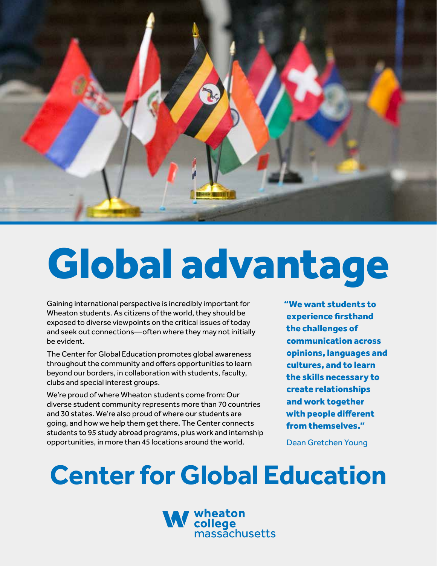

# Global advantage

Gaining international perspective is incredibly important for Wheaton students. As citizens of the world, they should be exposed to diverse viewpoints on the critical issues of today and seek out connections—often where they may not initially be evident.

The Center for Global Education promotes global awareness throughout the community and offers opportunities to learn beyond our borders, in collaboration with students, faculty, clubs and special interest groups.

We're proud of where Wheaton students come from: Our diverse student community represents more than 70 countries and 30 states. We're also proud of where our students are going, and how we help them get there. The Center connects students to 95 study abroad programs, plus work and internship opportunities, in more than 45 locations around the world.

"We want students to experience firsthand the challenges of communication across opinions, languages and cultures, and to learn the skills necessary to create relationships and work together with people different from themselves."

Dean Gretchen Young

## **Center for Global Education**

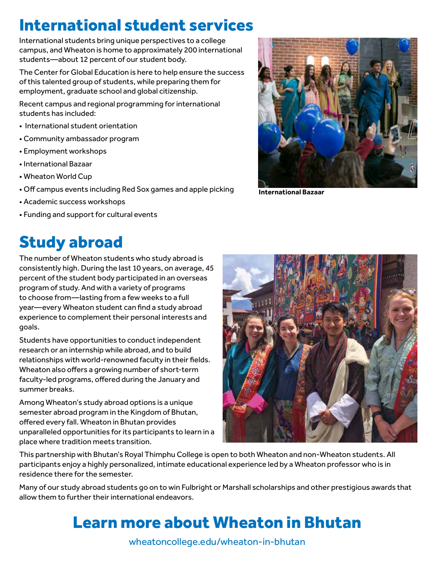### International student services

International students bring unique perspectives to a college campus, and Wheaton is home to approximately 200 international students—about 12 percent of our student body.

The Center for Global Education is here to help ensure the success of this talented group of students, while preparing them for employment, graduate school and global citizenship.

Recent campus and regional programming for international students has included:

- •  International student orientation
- • Community ambassador program
- • Employment workshops
- • International Bazaar
- • Wheaton World Cup
- • Off campus events including Red Sox games and apple picking
- • Academic success workshops
- • Funding and support for cultural events

### Study abroad

The number of Wheaton students who study abroad is consistently high. During the last 10 years, on average, 45 percent of the student body participated in an overseas program of study. And with a variety of programs to choose from—lasting from a few weeks to a full year—every Wheaton student can find a study abroad experience to complement their personal interests and goals.

Students have opportunities to conduct independent research or an internship while abroad, and to build relationships with world-renowned faculty in their fields. Wheaton also offers a growing number of short-term faculty-led programs, offered during the January and summer breaks.

Among Wheaton's study abroad options is a unique semester abroad program in the Kingdom of Bhutan, offered every fall. Wheaton in Bhutan provides unparalleled opportunities for its participants to learn in a place where tradition meets transition.



**International Bazaar**



This partnership with Bhutan's Royal Thimphu College is open to both Wheaton and non-Wheaton students. All participants enjoy a highly personalized, intimate educational experience led by a Wheaton professor who is in residence there for the semester.

Many of our study abroad students go on to win Fulbright or Marshall scholarships and other prestigious awards that allow them to further their international endeavors.

### Learn more about Wheaton in Bhutan

wheatoncollege.edu/wheaton-in-bhutan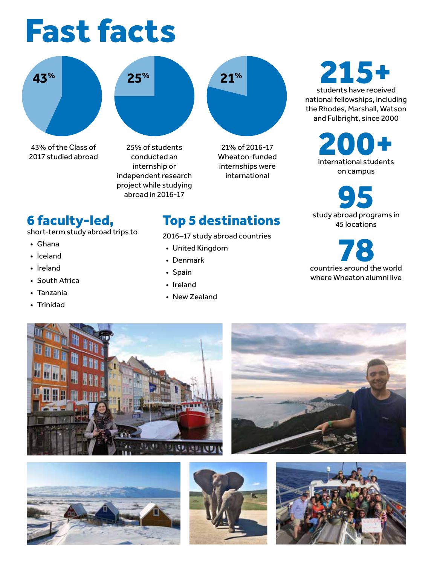# Fast facts



**25%**

43% of the Class of 2017 studied abroad

25% of students conducted an internship or independent research project while studying abroad in 2016-17

**21%**

21% of 2016-17 Wheaton-funded internships were international

## 215+

students have received national fellowships, including the Rhodes, Marshall, Watson and Fulbright, since 2000

> 200+ on campus

study abroad programs in 95 45 locations

countries around the world where Wheaton alumni live

#### 6 faculty-led,

short-term study abroad trips to

- Ghana
- Iceland
- Ireland
- South Africa
- Tanzania
- Trinidad

#### Top 5 destinations

2016–17 study abroad countries

- United Kingdom
- Denmark
- Spain
- Ireland
- New Zealand